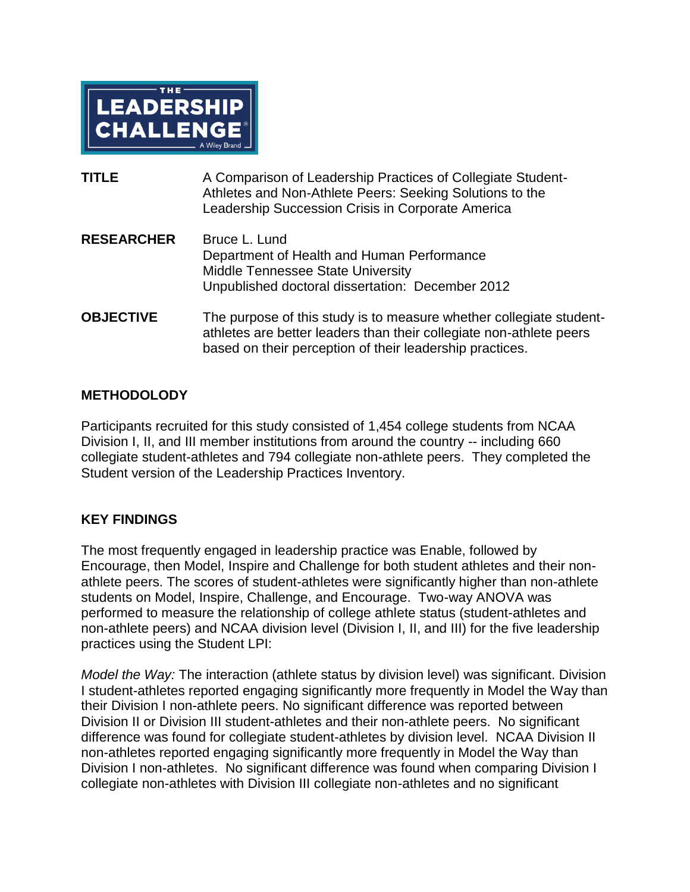

| <b>TITLE</b>      | A Comparison of Leadership Practices of Collegiate Student-<br>Athletes and Non-Athlete Peers: Seeking Solutions to the<br>Leadership Succession Crisis in Corporate America |
|-------------------|------------------------------------------------------------------------------------------------------------------------------------------------------------------------------|
| <b>RESEARCHER</b> | Bruce L. Lund<br>Department of Health and Human Performance<br><b>Middle Tennessee State University</b><br>Unpublished doctoral dissertation: December 2012                  |
| <b>OBJECTIVE</b>  | The purpose of this study is to measure whether collegiate student-<br>athletes are better leaders than their collegiate non-athlete peers                                   |

based on their perception of their leadership practices.

## **METHODOLODY**

Participants recruited for this study consisted of 1,454 college students from NCAA Division I, II, and III member institutions from around the country -- including 660 collegiate student-athletes and 794 collegiate non-athlete peers. They completed the Student version of the Leadership Practices Inventory.

## **KEY FINDINGS**

The most frequently engaged in leadership practice was Enable, followed by Encourage, then Model, Inspire and Challenge for both student athletes and their nonathlete peers. The scores of student-athletes were significantly higher than non-athlete students on Model, Inspire, Challenge, and Encourage. Two-way ANOVA was performed to measure the relationship of college athlete status (student-athletes and non-athlete peers) and NCAA division level (Division I, II, and III) for the five leadership practices using the Student LPI:

*Model the Way:* The interaction (athlete status by division level) was significant. Division I student-athletes reported engaging significantly more frequently in Model the Way than their Division I non-athlete peers. No significant difference was reported between Division II or Division III student-athletes and their non-athlete peers. No significant difference was found for collegiate student-athletes by division level. NCAA Division II non-athletes reported engaging significantly more frequently in Model the Way than Division I non-athletes. No significant difference was found when comparing Division I collegiate non-athletes with Division III collegiate non-athletes and no significant